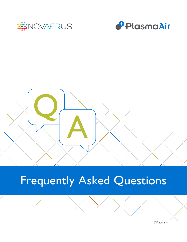





# Frequently Asked Questions

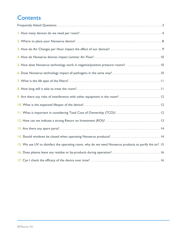## **Contents**

| 5. How does Novaerus technology work in negative/positive pressure rooms?  10                          |
|--------------------------------------------------------------------------------------------------------|
|                                                                                                        |
|                                                                                                        |
|                                                                                                        |
|                                                                                                        |
|                                                                                                        |
| II. What is important in considering Total Cost of Ownership (TCO)? 12                                 |
|                                                                                                        |
|                                                                                                        |
|                                                                                                        |
| 15. We use UV to disinfect the operating room, why do we need Novaerus products to purify the air?. 15 |
| 16. Does plasma leave any residue or by-products during operation?  16                                 |
|                                                                                                        |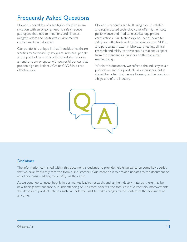## Frequently Asked Questions

Novaerus portable units are highly effective in any situation with an ongoing need to safely reduce pathogens that lead to infections and illnesses, mitigate odors and neutralize environmental contaminants in indoor air.

Our portfolio is unique in that it enables healthcare facilities to continuously safeguard individual people at the point of care or rapidly remediate the air in an entire room or space with powerful devices that provide high equivalent ACH or CADR in a costeffective way.

Novaerus products are built using robust, reliable and sophisticated technology that offer high efficacy performance and medical electrical equipment certifications. Our technology has been shown to safely and effectively reduce bacteria, viruses, VOCs, and particulate matter in laboratory testing, clinical research and trials. It's these results that set us apart from the standard air purifiers on the consumer market today.

Within this document, we refer to the industry as air purification and our products as air purifiers, but it should be noted that we are focusing on the premium / high-end of the industry.



#### **Disclaimer**

The information contained within this document is designed to provide helpful guidance on some key queries that we have frequently received from our customers. Our intention is to provide updates to the document on an ad hoc basis – adding more FAQs as they arise.

As we continue to invest heavily in our market-leading research, and as the industry matures, there may be new findings that enhance our understanding of use cases, benefits, the total cost of ownership improvements, the life span of products etc. As such, we hold the right to make changes to the content of the document at any time.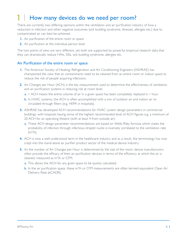#### How many devices do we need per room? **1**

There are currently two differing opinions within the ventilation and air purification industry of how a reduction in infection and other negative outcomes (sick building syndrome, illnesses, allergies etc.) due to contaminated air can best be achieved.

- **1.** Air purification of the entire room or space
- **2.** Air purification at the individual person level

The two points of view are very different, yet both are supported by powerful empirical research data that they can dramatically reduce HAIs, SSIs, sick building syndrome, allergies etc.

#### Air Purification of the entire room or space

- **1.** The American Society of Heating, Refrigeration and Air Conditioning Engineers (ASHRAE) has championed the view that air contaminants need to be cleaned from an entire room or indoor space to reduce the risk of people acquiring infections.
- **2.** Air Changes per Hour (ACH) is the key measurement used to determine the effectiveness of ventilation and air purification systems in reducing risk at room level.
	- a. 1 ACH means the entire volume of air in a given space has been completely replaced in 1 hour.
	- b. In HVAC systems, the ACH is often accomplished with a mix of outdoor air and indoor air recirculated through filters (e.g. HEPA in hospitals).
- **3.** ASHRAE has developed ACH recommendations for HVAC system design parameters in commercial buildings, with hospitals having some of the highest recommended level of ACH figures e.g. a minimum of 20 ACH for an operating theatre (with at least 4 from outside air).
	- a. These ACH design parameter recommendations are based on Wells-Riley formula which states the probability of infection through infectious droplet nuclei is inversely correlated to the ventilation rate (m3 /h).
- **4.** ACH is now a well-understood term in the healthcare industry and as a result, the terminology has now crept into the stand-alone air purifier product sector of the medical device industry.
- **5.** As the number of Air Changes per Hour is determined by the size of the room, device manufacturers often provide the efficacy of their air purification devices in terms of the efficiency at which the air is cleaned, measured as m3 /h or CFM.
	- a. This allows the ACH for any given space to be quickly calculated.
	- **b.** In the air purification space, these m<sup>3</sup>/h or CFM measurements are often termed equivalent Clean Air Delivery Rate (eCADR).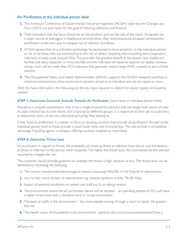#### Air Purification at the individual person level

- **1.** The American Conference of Governmental Industrial Hygienists (ACGIH) state that Air Changes per Hour (ACH) is a poor basis for the goal of reducing infections and illnesses.
- **2.** Their attitude is that the focus should be on the problem and not the size of the room. As people are a major source of pathogens in healthcare environments, they recommend personalized ventilation/air purification as the best way to mitigate risk of infection and illness.
- **3.** ACGIH advises that air purification technology be positioned in close proximity to the individual person at risk or to those who are contributing to the risk of others, targeting their breathing zone (respiratory infection) or body zone (wound SSIs). This provides the greatest benefit at the lowest cost; healthcare facilities will see a reduction in HAIs and SSIs and the individual will observe superior air quality however energy costs will be lower than ACH solutions that generally require large HVAC systems as part of their solution.
- **4.** The Occupational Safety and Health Administration (OSHA) supports the ACGIH viewpoint and thus in industrial environments, they recommend solutions aimed at an individual and not the space or room.

With this base information, the following are the key steps required to determine device type(s) and quantity needed:

#### **STEP I: Determine Customer Attitude Towards Air Purification** (room level or individual person level)

Novaerus is uniquely positioned in that it has a range of powerful solutions that can target both points of view. As each method has its own merits and is favored by different groups, it is important to first talk to customers to determine which of the two attitudinal groupings they belong to.

If they have no preference, it is better to focus on quoting solutions that provide air purification focused at the individual person level as these provide a much lower total cost of ownership. This will provide a competitive advantage if quoting against a company offering solutions targeted at room level.

#### **STEP 2:** Determine Threat Level

Air purification is aligned to threat; the probability of attaining illness or infection from the air and the severity of illness or infection to the person when acquired. The higher the threat level, the more powerful the solution required to mitigate the risk.

The customer should provide guidance on whether the threat is high, medium or low. The threat level can be identified by reviewing the following:

- **1.** The historic trend/number/percentage of patients acquiring HAIs/SSIs in the hospital or department.
- **2.** Any current macro threats at national level e.g. measles epidemic (USA), TB (SE Asia)
- **3.** Impact of seasonal conditions on patient and staff e.g. flu or allergy season
- **4.** The environment where the air purification device will be located an operating theatre or ICU will have a higher threat level than a standard ward or nurses workstation.
- **5.** The level of traffic in the environment the more people moving through a room or space, the greater the risk.
- **6.** The health status of the patients in the environment patients who are immunocompromised have a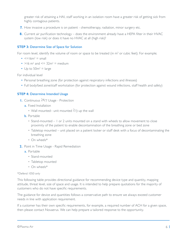greater risk of attaining a HAI, staff working in an isolation room have a greater risk of getting sick from highly contagious patients.

- **7.** How invasive a procedure is on patient chemotherapy, radiation, minor surgery etc.
- **8.** Current air purification technology does the environment already have a HEPA filter in their HVAC system (low risk) or does it have no HVAC at all (high risk)?

#### **STEP 3:** Determine Size of Space for Solution

For room level, identify the volume of room or space to be treated (in m $^3$  or cubic feet). For example;

- $\lt = 16m^2 = \text{small}$
- $>16$  m<sup>2</sup> and  $<=$  32m<sup>2</sup> = medium
- Up to  $50m^2$  = large

For individual level

- Personal breathing zone (for protection against respiratory infections and illnesses)
- Full body/bed zone/staff workstation (for protection against wound infections, staff health and safety)

#### **STEP 4: Determine Intended Usage**

- **1.** Continuous 24/7 Usage Protection
	- a. Fixed Installation
		- Wall mounted– unit mounted  $2/3$  up the wall
	- b. Portable
		- Stand-mounted 1 or 2 units mounted on a stand with wheels to allow movement to close proximity of the patient to enable decontamination of the breathing zone or bed zone
		- Tabletop mounted unit placed on a patient locker or staff desk with a focus of decontaminating the breathing zone
		- On wheels\*
- **2.** Point in Time Usage Rapid Remediation
	- a. Portable
		- Stand-mounted
		- Tabletop mounted
		- On wheels\*

#### \*Defend 1050 only

This following table provides directional guidance for recommending device type and quantity, mapping attitude, threat level, size of space and usage. It is intended to help prepare quotations for the majority of customers who do not have specific requirements.

The guidance for device and quantities follows a conservative path to ensure we always exceed customer needs in line with application requirement.

If a customer has their own specific requirements, for example, a required number of ACH for a given space, then please contact Novaerus. We can help prepare a tailored response to the opportunity.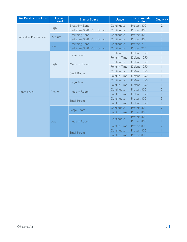| <b>Air Purification Level</b> | <b>Threat</b><br><b>Level</b> | <b>Size of Space</b>               | <b>Usage</b>  | <b>Recommended</b><br><b>Product</b> | Quantity       |
|-------------------------------|-------------------------------|------------------------------------|---------------|--------------------------------------|----------------|
| Individual Person Level       | High                          | <b>Breathing Zone</b>              | Continuous    | Protect 800                          | $\overline{2}$ |
|                               |                               | Bed Zone/Staff Work Station        | Continuous    | Protect 800                          | 3              |
|                               | Medium                        | <b>Breathing Zone</b>              | Continuous    | Protect 800                          |                |
|                               |                               | <b>Bed Zone/Staff Work Station</b> | Continuous    | Protect 800                          | $\overline{2}$ |
|                               | Low                           | <b>Breathing Zone</b>              | Continuous    | Protect 200                          |                |
|                               |                               | <b>Bed Zone/Staff Work Station</b> | Continuous    | Protect 200                          |                |
| Room Level                    | High                          | Large Room                         | Continuous    | Defend 1050                          |                |
|                               |                               |                                    | Point in Time | Defend 1050                          |                |
|                               |                               | Medium Room                        | Continuous    | Defend 1050                          |                |
|                               |                               |                                    | Point in Time | Defend 1050                          |                |
|                               |                               | Small Room                         | Continuous    | Defend 1050                          |                |
|                               |                               |                                    | Point in Time | Defend 1050                          |                |
|                               | Medium                        | Large Room                         | Continuous    | Defend 1050                          |                |
|                               |                               |                                    | Point in Time | Defend 1050                          |                |
|                               |                               | Medium Room                        | Continuous    | Protect 800                          | 5              |
|                               |                               |                                    | Point in Time | Defend 1050                          |                |
|                               |                               | Small Room                         | Continuous    | Protect 800                          | 3              |
|                               |                               |                                    | Point in Time | Defend 1050                          |                |
|                               | Low                           | Large Room                         | Continuous    | Protect 800                          | $\overline{2}$ |
|                               |                               |                                    | Point in Time | Protect 800                          | $\overline{2}$ |
|                               |                               | Medium Room                        | Continuous    | Protect 800                          |                |
|                               |                               |                                    |               | Protect 800                          |                |
|                               |                               |                                    | Point in Time | Protect 800                          | $\overline{2}$ |
|                               |                               | <b>Small Room</b>                  | Continuous    | Protect 800                          |                |
|                               |                               |                                    | Point in Time | Protect 800                          |                |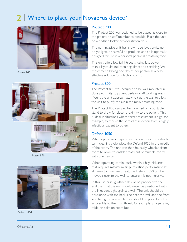## 2 | Where to place your Novaerus device?



*Protect 200*



*Protect 800*



*Defend 1050*

#### Protect 200

The Protect 200 was designed to be placed as close to the patient or staff member as possible. Place the unit on a bedside locker or workstation desk.

The non-invasive unit has a low noise level, emits no bright lights or harmful by-products and so is optimally designed for use in a person's personal breathing zone.

This unit offers low full life costs, using less power than a lightbulb and requiring almost no servicing. We recommend having one device per person as a costeffective solution for infection control.

#### Protect 800

The Protect 800 was designed to be wall-mounted in close proximity to patient beds or staff working areas. Mount the unit approximately  $2/3$  up the wall to allow the unit to purify the air in the main breathing zone.

The Protect 800 can also be mounted on a portable stand to allow for closer proximity to the patient. This is ideal in situations where threat assessment is high, for example, to reduce the spread of infection from a highly infectious patient to others.

#### Defend 1050

When operating in rapid remediation mode for a shortterm cleaning cycle, place the Defend 1050 in the middle of the room. The unit can then be easily wheeled from room to room to enable treatment of multiple rooms with one device.

When operating continuously within a high-risk area that requires maximum air purification performance at all times to minimize threat, the Defend 1050 can be moved closer to the wall to ensure it is not intrusive.

In this use-case, guidance should be provided to the end user that the unit should never be positioned with the inlet vent tight against a wall. The unit should be positioned with the back side near the wall and the front side facing the room. The unit should be placed as close as possible to the main threat, for example, an operating table or isolation room bed.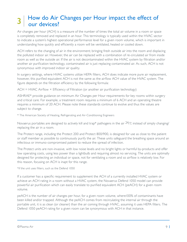#### $\mathbf{p}$  How do Air Changes per Hour impact the effect of our devices? **3**

Air changes per hour (ACH) is a measure of the number of times the total air volume in a room or space is completely removed and replaced in an hour. This terminology is typically used within the HVAC sector to indicate a system's highest operational performance level for a given room volume, which is important in understanding how quickly and efficiently a room will be ventilated, heated or cooled down.

ACH refers to the changing of air in the environment; bringing fresh outside air into the room and displacing the polluted indoor air. However, the air can be replaced with a combination of re-circulated air from inside room as well as the outside air. If the air is not decontaminated within the HVAC system by filtration and/or another air purification technology, contaminated air is just replacing contaminated air. As such, ACH is not synonymous with improved indoor air quality.

In surgery settings, where HVAC systems utilize HEPA filters, ACH does indicate more pure air replacement, however, this purified equivalent ACH is not the same as the airflow ACH value of the HVAC system. The figure depends on the filtration efficiency by the following formula:

 $ACH = HVAC$  Airflow  $\times$  Efficiency of Filtration (or another air purification technology)

ASHRAE\* provide guidance on minimum Air Changes per Hour requirements for key rooms within surgery and critical care. For example, a treatment room requires a minimum of 6 ACH and an operating theatre requires a minimum of 20 ACH. Please note these standards continue to evolve and thus the values are subject to change.

\* The American Society of Heating, Refrigerating and Air-Conditioning Engineers

Novaerus portables are designed to actively kill and trap\* pathogens in the air  $24/7$ , instead of simply changing/ replacing the air in a room.

The Protect range, including the Protect 200 and Protect 800/900, is designed for use as close to the patient or staff member as possible to continuously purify the air. These units safeguard the breathing space around an infectious or immuno-compromised patient to reduce the spread of infection.

The Protect units are non-invasive, with low noise levels and no bright lights or harmful by-products and offer low operating costs, using less power than a lightbulb and requiring almost no servicing. The units are optimally designed for protecting an individual or space, not for ventilating a room and so airflow is relatively low. For this reason, focusing on ACH is inapt for this range.

\*if the unit uses filters, such as the Defend 1050

If a customer has a specific requirement to supplement the ACH of a currently installed HVAC system or achieve an ACH rating in a room without a HVAC system, the Novaerus Defend 1050 model can provide powerful air purification which can easily translate to purified equivalent ACH (peACH) for a given room volume.

peACH is the number of air changes per hour, for a given room volume, where100% of contaminants have been killed and/or trapped. Although the peACH comes from recirculating the internal air through the portable unit, it is as clean (or cleaner) than the air coming through HVAC, assuming it uses HEPA filters. The Defend 1050 peACH rating for a given room can be synonymous with ACH in that instance.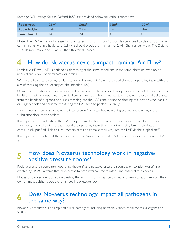Some peACH ratings for the Defend 1050 are provided below for various room sizes:

| Room Area          | 25m <sup>2</sup> | 50 <sub>m²</sub> | 75 <sub>m²</sub> | 100 <sub>m</sub> |
|--------------------|------------------|------------------|------------------|------------------|
| <b>Room Height</b> | 2.4m             | 2.4 <sub>m</sub> | 2.4m             | 2.4 <sub>m</sub> |
| peACH/ACH          | 4.8              |                  | 4.9              | ، د              |

Note: The US Centre for Disease Control states that if an air purification device is used to clear a room of air contaminants within a healthcare facility, it should provide a minimum of 2 Air Changes per Hour. The Defend 1050 delivers more peACH/ACH than this for all spaces.

#### How do Novaerus devices impact Laminar Air Flow? **4**

Laminar Air Flow (LAF) is defined as air moving at the same speed and in the same direction, with no or minimal cross-over of air streams, or lamina.

Within the healthcare setting, a filtered, vertical laminar air flow is provided above an operating table with the aim of reducing the risk of surgical site infection (SSI).

Unlike in a laboratory or manufacturing setting where the laminar air flow operates within a full enclosure, in a healthcare facility, it operates as a virtual curtain. As such, the laminar curtain is subject to external pollutants from the hands of surgeons or nurses reaching into the LAF zone, scrubs or clothing of a person who leans in or surgery tools and equipment entering the LAF zone to perform surgery.

The laminar air flow is also subject to interference from staff bodies moving around and creating cross turbulence close to the patient.

It is important to understand that LAF in operating theaters can never be as perfect as in a full enclosure. Therefore, it is vital that all areas around the operating table that are not receiving laminar air flow are continuously purified. This ensures contaminants don't make their way into the LAF via the surgical staff.

It is important to note that the air coming from a Novaerus Defend 1050 is as clean or cleaner than the LAF air.

### How does Novaerus technology work in negative/ **5** | How does Novaerus technical positive pressure rooms?

Positive pressure rooms (e.g., operating theaters) and negative pressure rooms (e.g., isolation wards) are created by HVAC systems that have access to both internal (recirculated) and external (outside) air.

Novaerus devices are focused on treating the air in a room or space by means of re-circulation. As such,they do not impact either a positive or a negative pressure room.

#### Does Novaerus technology impact all pathogens in the same way? **6**

Novaerus products Kill or Trap and Kill all pathogens including bacteria, viruses, mold spores, allergens and VOCs.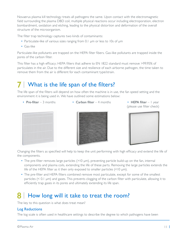Novaerus plasma kill technology treats all pathogens the same. Upon contact with the electromagnetic field surrounding the plasma DBD coil, multiple physical reactions occur including electroporation, electron bombardment, oxidation and etching, leading to the physical distortion and deformation of the overall structure of the microorganism.

The filter trap technology captures two kinds of contaminants:

- Particulate-like of various sizes ranging from 0.1 μm or less to 10s of μm
- Gas-like

Particulate-like pollutants are trapped on the HEPA filter fibers. Gas-like pollutants are trapped inside the pores of the carbon filter.

This filter has a high efficacy; HEPA filters that adhere to EN 1822 standard must remove >99.95% of particulates in the air. Due to the different size and resilience of each airborne pathogen, the time taken to remove them from the air is different for each contaminant type/strain.

#### What is the life span of the filters? **7**

The life span of the filters will depend on how often the machine is in use, the fan speed setting and the environment it is being used in. We have outlined some estimations below:

- 
- Pre-filter 3 months Carbon filter 4 months HEPA filter 1 year

(please use filter check)







Changing the filters as specified will help to keep the unit performing with high efficacy and extend the life of the components.

- The pre-filter removes large particles (>10 μm), preventing particle build-up on the fan, internal components and plasma coils, extending the life of these parts. Removing the large particles extends the life of the HEPA filter as it then only exposed to smaller particles (<10 μm).
- The pre-filter and HEPA filters combined remove most particulate, except for some of the smallest particles (< 0.1 μm) and gases. This prevents clogging of the carbon filter with particulate, allowing it to efficiently trap gases in its pores and ultimately extending its life span.

#### How long will it take to treat the room? **8**

The key to this question is what does treat mean?

#### Log Reductions

The log scale is often used in healthcare settings to describe the degree to which pathogens have been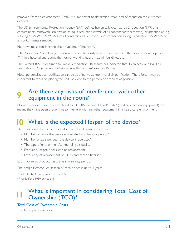removed from an environment. Firstly, it is important to determine what level of reduction the customer expects.

The US Environmental Protection Agency (EPA) defines hygienically clean as log 2 reduction (99% of all contaminants removed), sanitization as log 3 reduction (99.9% of all contaminants removed), disinfection as log 5 to log 6 (99.999 – 99.9999% of all contaminants removed) and sterilization as log 6 reduction (99.9999% of all contaminants removed).

Next, we must consider the size or volume of the room.

The Novaerus Protect range is designed to continuously treat the air. As such, the devices should operate  $24/7$  in a hospital and during the normal working hours in admin buildings, etc.

The Defend 1050 is designed for rapid remediation. Research has indicated that it can achieve a log 3 air sanitization of *Staphylococcus epidermidis* within a 30 m3 space in 15 minutes.

Note, personalized air purification can be as effective as room-level air purification. Therefore, it may be important to focus on placing the units as close to the person or problem as possible.

#### $\Omega$  Are there any risks of interference with other equipment in the room? **9**

Novaerus devices have been certified to IEC 60601-1 and IEC 60601-1-2 (medical electrical equipment). This means they have been proven not to interfere with any other equipment in a healthcare environment.

## What is the expected lifespan of the device? **10**

There are a number of factors that impact the lifespan of the device:

- Number of hours the device is operated in a 24-hour period\*
- Number of days per year the device is operated\*
- The type of environment/surrounding air quality
- Frequency of pre-filter clean or replacement
- Frequency of replacement of HEPA and carbon filters\*\*

Each Novaerus product has a 2-year warranty period.

The design life/product lifespan of each device is up to 5 years.

 $*$  typically, the Protect units are run  $24/7$ . \*\* for Defend 1050 device only

#### I | What is important in considering Total Cost of Ownership (TCO)? **11**

#### Total Cost of Ownership Costs

• Initial purchase price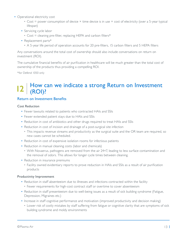- Operational electricity cost
	- Cost = power consumption of device × time device is in use × cost of electricity (over a 5-year typical lifespan)
	- Servicing cycle labor
		- Cost = cleaning pre-filter, replacing HEPA and carbon filters\*
	- Replacement parts\*
		- A 5-year life period of operation accounts for 20 pre-filters, 15 carbon filters and 5 HEPA filters

Any conversations around the total cost of ownership should also include conversations on return on investment (ROI).

The cumulative financial benefits of air purification in healthcare will be much greater than the total cost of ownership of the products thus providing a compelling ROI.

\*for Defend 1050 only

### How can we indicate a strong Return on Investment  $|2|^{How}_{(ROI)}$

#### Return on Investment Benefits

#### Cost Reduction

- Fewer lawsuits related to patients who contracted HAIs and SSIs
- Fewer extended patient stays due to HAIs and SSIs
- Reduction in cost of antibiotics and other drugs required to treat HAIs and SSIs
- Reduction in cost of incision and drainage of a post-surgical site infection
	- This impacts revenue streams and productivity as the surgical suite and the OR team are required, so new cases cannot be scheduled.
- Reduction in cost of expensive isolation rooms for infectious patients
- Reduction in manual cleaning costs (labor and chemicals)
	- With Novaerus, pathogens are removed from the air 24×7, leading to less surface contamination and the removal of odors. This allows for longer cycle times between cleaning.
- Reduction in insurance premiums
	- Facility owned evidentiary reports to prove reduction in HAIs and SSIs as a result of air purification products

#### Productivity Improvement

- Reduction in staff absenteeism due to illnesses and infections contracted within the facility
	- Fewer requirements for high-cost contract staff or overtime to cover absenteeism
- Reduction in staff presenteeism due to well-being issues as a result of sick building syndrome (Fatigue, Depression, Migraines etc.)
- Increase in staff cognitive performance and motivation (improved productivity and decision making)
- Lower risk of costly mistakes by staff suffering from fatigue or cognitive clarity that are symptoms of sick building syndrome and moldy environments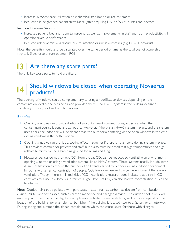- Increase in room/space utilization post chemical sterilization or refurbishment
- Reduction in heightened patient surveillance (after acquiring HAI or SSI) by nurses and doctors

#### Improved Revenue Streams

- Increased patient, bed and room turnaround, as well as improvements in staff and room productivity, will optimize revenue performance
- Reduced risk of admissions closure due to infection or illness outbreaks (e.g. Flu or Norovirus)

Note: the benefits should also be calculated over the same period of time as the total cost of ownership (typically 5 years) to ensure optimum ROI.

## 13 Are there any spare parts?

The only key spare parts to hold are filters.

## Should windows be closed when operating Novaerus **14** products?

The opening of windows can be complementary to using air purification devices depending on the contamination level of the outside air and provided there is no HVAC system in the building designed specifically to heat, cool and ventilate rooms.

#### **Benefits**

- **1.** Opening windows can provide dilution of air contaminant concentrations, especially when the contaminant source is constant e.g. odors. However, if there is an HVAC system in place, and this system uses filters, the indoor air will be cleaner than the outdoor air entering via the open window. In this case, closing windows is the better option.
- **2.** Opening windows can provide a cooling effect in summer if there is no air conditioning system in place. This provides comfort for patients and staff, but it also must be noted that high temperatures and high relative humidity can be a breeding ground for germs and fungi.
- **3.** Novaerus devices do not remove  $CO<sub>2</sub>$  from the air.  $CO<sub>2</sub>$  can be reduced by ventilating an environment; opening windows or using a ventilation system like an HVAC system. These systems usually include some degree of filtration to reduce the number of pollutants carried by outdoor air into indoor environments. In rooms with a high concentration of people,  $CO<sub>2</sub>$  levels can rise and oxygen levels lower if there is no ventilation. Though there is minimal risk of  $CO<sub>2</sub>$  intoxication, research does indicate that a rise in  $CO<sub>2</sub>$ correlates to a rise in odorous substances. Higher levels of  $CO<sub>2</sub>$  can also lead to concentration issues and headaches.

Note: Outdoor air can be polluted with particulate matter, such as carbon particulate from combustion engines, VOCs and toxic gases, such as carbon monoxide and nitrogen dioxide. The outdoor pollution level may vary with the time of the day, for example may be higher during rush hour, and can also depend on the location of the building, for example may be higher if the building is located next to a factory or a motorway. During spring and summer, the air can contain pollen which can cause issues for those with allergies.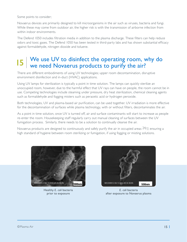Some points to consider;

Novaerus devices are primarily designed to kill microorganisms in the air such as viruses, bacteria and fungi. While these may come from outdoor air, the higher risk is with the transmission of airborne infection from within indoor environments.

The Defend 1050 includes filtration media in addition to the plasma discharge. These filters can help reduce odors and toxic gases. The Defend 1050 has been tested in third-party labs and has shown substantial efficacy against formaldehyde, nitrogen dioxide and toluene.

## We use UV to disinfect the operating room, why do we need Novaerus products to purify the air?

There are different embodiments of using UV technologies; upper room decontamination, disruptive environment disinfection and in-duct (HVAC) applications.

Using UV lamps for sterilization is typically a point in time solution. The lamps can quickly sterilize an unoccupied room, however, due to the harmful effect that UV rays can have on people, the room cannot be in use. Competing technologies include steaming under pressure, dry heat sterilization, chemical cleaning agents such as formaldehyde and fogging misters such as peracetic acid or hydrogen peroxide.

Both technologies, UV and plasma-based air purification, can be used together. UV irradiation is more effective for the decontamination of surfaces while plasma technology, with or without filters, decontaminates the air.

As a point in time solution, once UV is turned off, air and surface contaminants will start to increase as people re-enter the room. Housekeeping staff regularly carry out manual cleaning of surfaces between the UV fumigation process. Similarly, there needs to be a solution to continually cleanse the air.

Novaerus products are designed to continuously and safely purify the air in occupied areas 24/7, ensuring a high standard of hygiene between room sterilizing or fumigation, if using fogging or misting solutions.



Healthy *E. coli* bacteria prior to exposure



*E. coli* bacteria after exposure to Novaerus plasma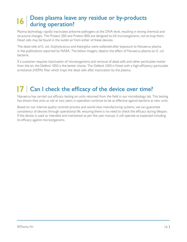#### Does plasma leave any residue or by-products during operation? **16**

Plasma technology rapidly inactivates airborne pathogens at the DNA level, resulting in strong chemical and structural changes. The Protect 200 and Protect 800 are designed to kill microorganisms, not to trap them. Dead cells may be found in the outlet air from either of these devices.

The dead cells of *E. coli, Staphylococcus* and *Aspergillus* were collected after exposure to Novaerus plasma in the publications reported by NASA. The below imagery depicts the effect of Novaerus plasma on *E. coli*  bacteria.

If a customer requires inactivation of microorganisms and removal of dead cells and other particulate matter from the air, the Defend 1050 is the better choice. The Defend 1050 is fitted with a high-efficiency particulate arrestance (HEPA) filter which traps the dead cells after inactivation by the plasma.

## 17 | Can I check the efficacy of the device over time?

Novaerus has carried out efficacy testing on units returned from the field in our microbiology lab. This testing has shown that units as old as two years in operation continue to be as effective against bacteria as new units.

Based on our internal quality controls process and world-class manufacturing systems, we can guarantee consistency of devices through operational life, ensuring there is no need to check the efficacy during lifespan. If the device is used as intended and maintained as per the user manual, it will operate as expected including its efficacy against microorganisms.